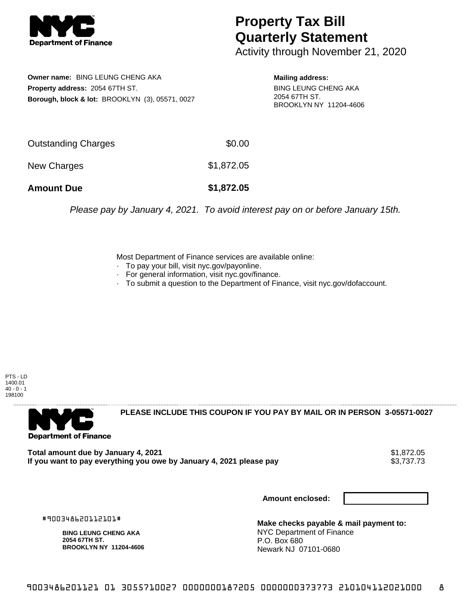

## **Property Tax Bill Quarterly Statement**

Activity through November 21, 2020

**Owner name:** BING LEUNG CHENG AKA **Property address:** 2054 67TH ST. **Borough, block & lot:** BROOKLYN (3), 05571, 0027

**Mailing address:** BING LEUNG CHENG AKA 2054 67TH ST. BROOKLYN NY 11204-4606

| <b>Amount Due</b>   | \$1,872.05 |
|---------------------|------------|
| New Charges         | \$1,872.05 |
| Outstanding Charges | \$0.00     |

Please pay by January 4, 2021. To avoid interest pay on or before January 15th.

Most Department of Finance services are available online:

- · To pay your bill, visit nyc.gov/payonline.
- For general information, visit nyc.gov/finance.
- · To submit a question to the Department of Finance, visit nyc.gov/dofaccount.

PTS - LD 1400.01  $40 - 0 - 1$ 198100



**PLEASE INCLUDE THIS COUPON IF YOU PAY BY MAIL OR IN PERSON 3-05571-0027** 

Total amount due by January 4, 2021<br>If you want to pay everything you owe by January 4, 2021 please pay **show that the summary of the s**3,737.73 If you want to pay everything you owe by January 4, 2021 please pay

**Amount enclosed:**

#900348620112101#

**BING LEUNG CHENG AKA 2054 67TH ST. BROOKLYN NY 11204-4606**

**Make checks payable & mail payment to:** NYC Department of Finance P.O. Box 680 Newark NJ 07101-0680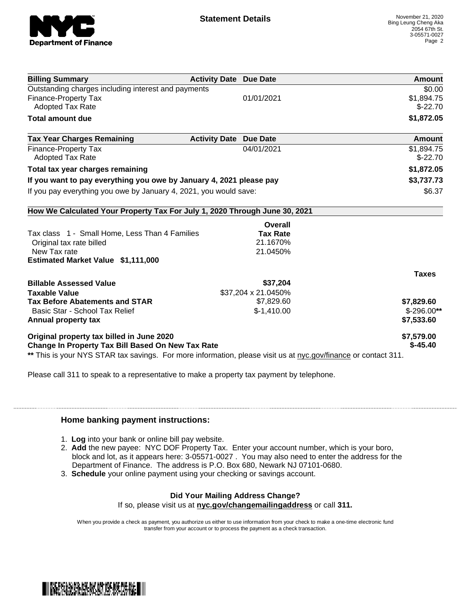

| <b>Billing Summary</b>                                                                                         | <b>Activity Date Due Date</b>           | Amount       |
|----------------------------------------------------------------------------------------------------------------|-----------------------------------------|--------------|
| Outstanding charges including interest and payments                                                            |                                         | \$0.00       |
| Finance-Property Tax                                                                                           | 01/01/2021                              | \$1,894.75   |
| <b>Adopted Tax Rate</b>                                                                                        |                                         | $$-22.70$    |
| <b>Total amount due</b>                                                                                        |                                         | \$1,872.05   |
| <b>Tax Year Charges Remaining</b>                                                                              | <b>Activity Date</b><br><b>Due Date</b> | Amount       |
| <b>Finance-Property Tax</b>                                                                                    | 04/01/2021                              | \$1,894.75   |
| <b>Adopted Tax Rate</b>                                                                                        |                                         | $$-22.70$    |
| Total tax year charges remaining                                                                               |                                         | \$1,872.05   |
| If you want to pay everything you owe by January 4, 2021 please pay                                            |                                         | \$3,737.73   |
| If you pay everything you owe by January 4, 2021, you would save:                                              |                                         | \$6.37       |
| How We Calculated Your Property Tax For July 1, 2020 Through June 30, 2021                                     |                                         |              |
|                                                                                                                | Overall                                 |              |
| Tax class 1 - Small Home, Less Than 4 Families                                                                 | <b>Tax Rate</b>                         |              |
| Original tax rate billed                                                                                       | 21.1670%                                |              |
| New Tax rate                                                                                                   | 21.0450%                                |              |
| Estimated Market Value \$1,111,000                                                                             |                                         |              |
|                                                                                                                |                                         | <b>Taxes</b> |
| <b>Billable Assessed Value</b>                                                                                 | \$37,204                                |              |
| <b>Taxable Value</b>                                                                                           | \$37,204 x 21.0450%                     |              |
| <b>Tax Before Abatements and STAR</b>                                                                          | \$7,829.60                              | \$7,829.60   |
| Basic Star - School Tax Relief                                                                                 | $$-1,410.00$                            | $$-296.00**$ |
| Annual property tax                                                                                            |                                         | \$7,533.60   |
| Original property tax billed in June 2020                                                                      |                                         | \$7,579.00   |
| <b>Change In Property Tax Bill Based On New Tax Rate</b>                                                       |                                         | $$-45.40$    |
| ** This is your NYS STAR tax savings. For more information, please visit us at nyc.gov/finance or contact 311. |                                         |              |

Please call 311 to speak to a representative to make a property tax payment by telephone.

## **Home banking payment instructions:**

- 1. **Log** into your bank or online bill pay website.
- 2. **Add** the new payee: NYC DOF Property Tax. Enter your account number, which is your boro, block and lot, as it appears here: 3-05571-0027 . You may also need to enter the address for the Department of Finance. The address is P.O. Box 680, Newark NJ 07101-0680.
- 3. **Schedule** your online payment using your checking or savings account.

## **Did Your Mailing Address Change?**

If so, please visit us at **nyc.gov/changemailingaddress** or call **311.**

When you provide a check as payment, you authorize us either to use information from your check to make a one-time electronic fund transfer from your account or to process the payment as a check transaction.